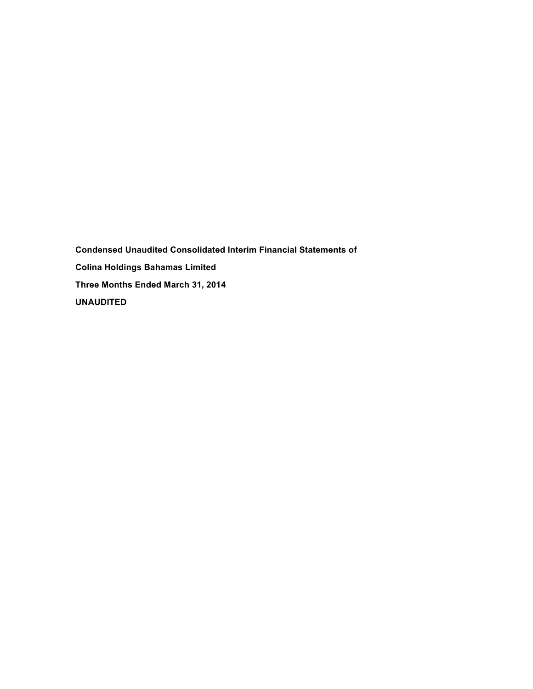**Condensed Unaudited Consolidated Interim Financial Statements of Colina Holdings Bahamas Limited Three Months Ended March 31, 2014 UNAUDITED**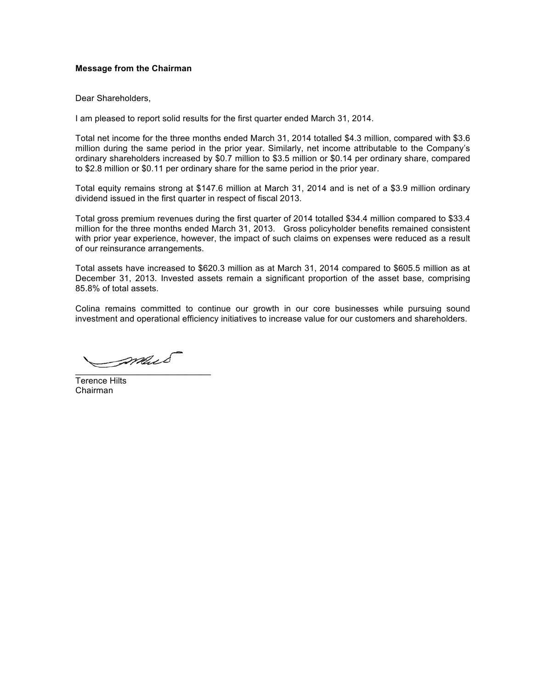## **Message from the Chairman**

Dear Shareholders,

I am pleased to report solid results for the first quarter ended March 31, 2014.

Total net income for the three months ended March 31, 2014 totalled \$4.3 million, compared with \$3.6 million during the same period in the prior year. Similarly, net income attributable to the Company's ordinary shareholders increased by \$0.7 million to \$3.5 million or \$0.14 per ordinary share, compared to \$2.8 million or \$0.11 per ordinary share for the same period in the prior year.

Total equity remains strong at \$147.6 million at March 31, 2014 and is net of a \$3.9 million ordinary dividend issued in the first quarter in respect of fiscal 2013.

Total gross premium revenues during the first quarter of 2014 totalled \$34.4 million compared to \$33.4 million for the three months ended March 31, 2013. Gross policyholder benefits remained consistent with prior year experience, however, the impact of such claims on expenses were reduced as a result of our reinsurance arrangements.

Total assets have increased to \$620.3 million as at March 31, 2014 compared to \$605.5 million as at December 31, 2013. Invested assets remain a significant proportion of the asset base, comprising 85.8% of total assets.

Colina remains committed to continue our growth in our core businesses while pursuing sound investment and operational efficiency initiatives to increase value for our customers and shareholders.

 $\mathscr{S}$ 

Terence Hilts Chairman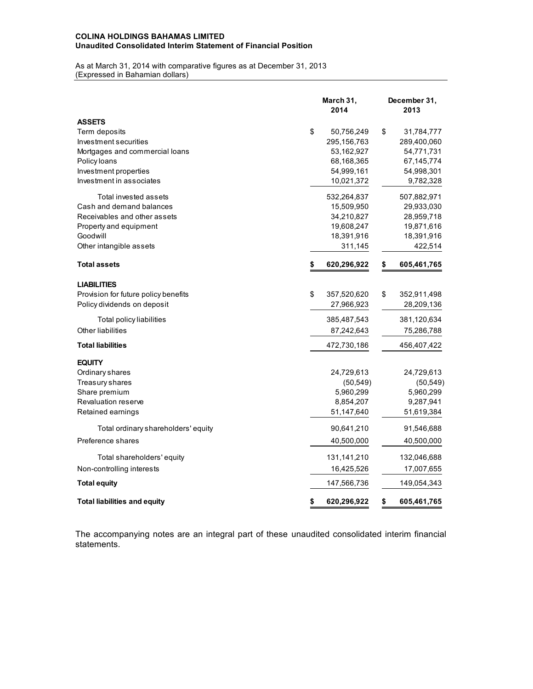### **COLINA HOLDINGS BAHAMAS LIMITED Unaudited Consolidated Interim Statement of Financial Position**

As at March 31, 2014 with comparative figures as at December 31, 2013 (Expressed in Bahamian dollars)

|                                      | March 31,<br>2014 | December 31,<br>2013 |
|--------------------------------------|-------------------|----------------------|
| <b>ASSETS</b>                        |                   |                      |
| Term deposits                        | \$<br>50,756,249  | \$<br>31,784,777     |
| Investment securities                | 295,156,763       | 289,400,060          |
| Mortgages and commercial loans       | 53,162,927        | 54,771,731           |
| Policy loans                         | 68,168,365        | 67, 145, 774         |
| Investment properties                | 54,999,161        | 54,998,301           |
| Investment in associates             | 10,021,372        | 9,782,328            |
| Total invested assets                | 532,264,837       | 507,882,971          |
| Cash and demand balances             | 15,509,950        | 29,933,030           |
| Receivables and other assets         | 34,210,827        | 28,959,718           |
| Property and equipment               | 19,608,247        | 19,871,616           |
| Goodwill                             | 18,391,916        | 18,391,916           |
| Other intangible assets              | 311,145           | 422,514              |
| <b>Total assets</b>                  | \$<br>620,296,922 | \$<br>605,461,765    |
| <b>LIABILITIES</b>                   |                   |                      |
| Provision for future policy benefits | \$<br>357,520,620 | \$<br>352,911,498    |
| Policy dividends on deposit          | 27,966,923        | 28,209,136           |
| Total policy liabilities             | 385,487,543       | 381,120,634          |
| <b>Other liabilities</b>             | 87,242,643        | 75,286,788           |
| <b>Total liabilities</b>             | 472,730,186       | 456,407,422          |
| <b>EQUITY</b>                        |                   |                      |
| Ordinary shares                      | 24,729,613        | 24,729,613           |
| Treasury shares                      | (50, 549)         | (50, 549)            |
| Share premium                        | 5,960,299         | 5,960,299            |
| Revaluation reserve                  | 8,854,207         | 9,287,941            |
| Retained earnings                    | 51,147,640        | 51,619,384           |
| Total ordinary shareholders' equity  | 90,641,210        | 91,546,688           |
| Preference shares                    | 40,500,000        | 40,500,000           |
| Total shareholders' equity           | 131,141,210       | 132,046,688          |
| Non-controlling interests            | 16,425,526        | 17,007,655           |
| <b>Total equity</b>                  | 147,566,736       | 149,054,343          |
| <b>Total liabilities and equity</b>  | \$<br>620,296,922 | \$<br>605,461,765    |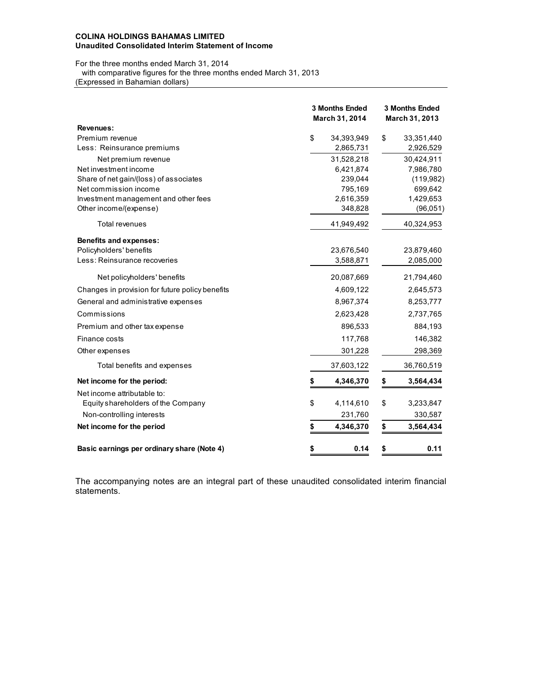### **COLINA HOLDINGS BAHAMAS LIMITED Unaudited Consolidated Interim Statement of Income**

For the three months ended March 31, 2014

 with comparative figures for the three months ended March 31, 2013 (Expressed in Bahamian dollars)

|                                                 |    | <b>3 Months Ended</b><br>March 31, 2014 | <b>3 Months Ended</b><br>March 31, 2013 |
|-------------------------------------------------|----|-----------------------------------------|-----------------------------------------|
| Revenues:                                       |    |                                         |                                         |
| Premium revenue<br>Less: Reinsurance premiums   | \$ | 34,393,949<br>2,865,731                 | \$<br>33,351,440<br>2,926,529           |
|                                                 |    |                                         |                                         |
| Net premium revenue<br>Net investment income    |    | 31,528,218<br>6,421,874                 | 30,424,911<br>7,986,780                 |
| Share of net gain/(loss) of associates          |    | 239,044                                 | (119,982)                               |
| Net commission income                           |    | 795,169                                 | 699,642                                 |
| Investment management and other fees            |    | 2,616,359                               | 1,429,653                               |
| Other income/(expense)                          |    | 348,828                                 | (96, 051)                               |
| <b>Total revenues</b>                           |    | 41,949,492                              | 40,324,953                              |
| <b>Benefits and expenses:</b>                   |    |                                         |                                         |
| Policyholders' benefits                         |    | 23,676,540                              | 23,879,460                              |
| Less: Reinsurance recoveries                    |    | 3,588,871                               | 2,085,000                               |
| Net policyholders' benefits                     |    | 20,087,669                              | 21,794,460                              |
| Changes in provision for future policy benefits |    | 4,609,122                               | 2,645,573                               |
| General and administrative expenses             |    | 8,967,374                               | 8,253,777                               |
| Commissions                                     |    | 2,623,428                               | 2,737,765                               |
| Premium and other tax expense                   |    | 896,533                                 | 884,193                                 |
| Finance costs                                   |    | 117,768                                 | 146,382                                 |
| Other expenses                                  |    | 301,228                                 | 298,369                                 |
| Total benefits and expenses                     |    | 37,603,122                              | 36,760,519                              |
| Net income for the period:                      |    | 4,346,370                               | \$<br>3,564,434                         |
| Net income attributable to:                     |    |                                         |                                         |
| Equity shareholders of the Company              | \$ | 4,114,610                               | \$<br>3,233,847                         |
| Non-controlling interests                       |    | 231,760                                 | 330,587                                 |
| Net income for the period                       | S  | 4,346,370                               | \$<br>3,564,434                         |
| Basic earnings per ordinary share (Note 4)      | \$ | 0.14                                    | \$<br>0.11                              |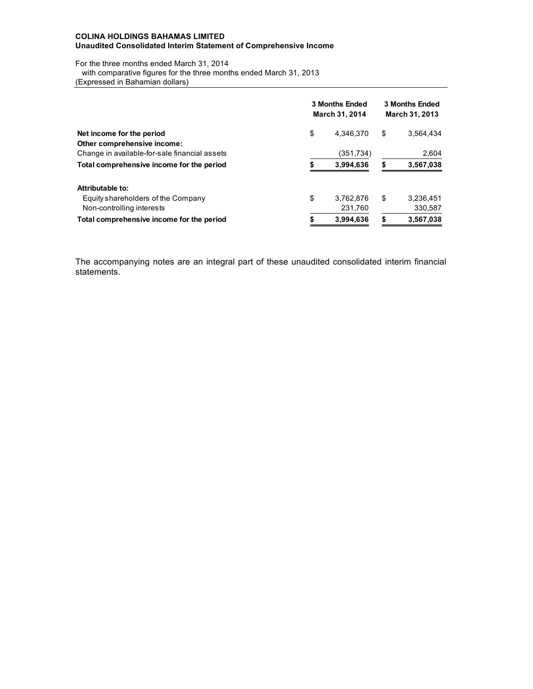### **COLINA HOLDINGS BAHAMAS LIMITED Unaudited Consolidated Interim Statement of Comprehensive Income**

For the three months ended March 31, 2014

with comparative figures for the three months ended March 31, 2013

(Expressed in Bahamian dollars)

|                                               | 3 Months Ended<br>March 31, 2014 |           |    | <b>3 Months Ended</b><br>March 31, 2013 |  |  |  |
|-----------------------------------------------|----------------------------------|-----------|----|-----------------------------------------|--|--|--|
| Net income for the period                     | \$                               | 4.346.370 | \$ | 3.564.434                               |  |  |  |
| Other comprehensive income:                   |                                  |           |    |                                         |  |  |  |
| Change in available-for-sale financial assets |                                  | (351,734) |    | 2,604                                   |  |  |  |
| Total comprehensive income for the period     | \$                               | 3,994,636 | S  | 3,567,038                               |  |  |  |
| Attributable to:                              |                                  |           |    |                                         |  |  |  |
| Equity shareholders of the Company            | \$                               | 3,762,876 | \$ | 3,236,451                               |  |  |  |
| Non-controlling interests                     |                                  | 231,760   |    | 330,587                                 |  |  |  |
| Total comprehensive income for the period     |                                  | 3,994,636 |    | 3,567,038                               |  |  |  |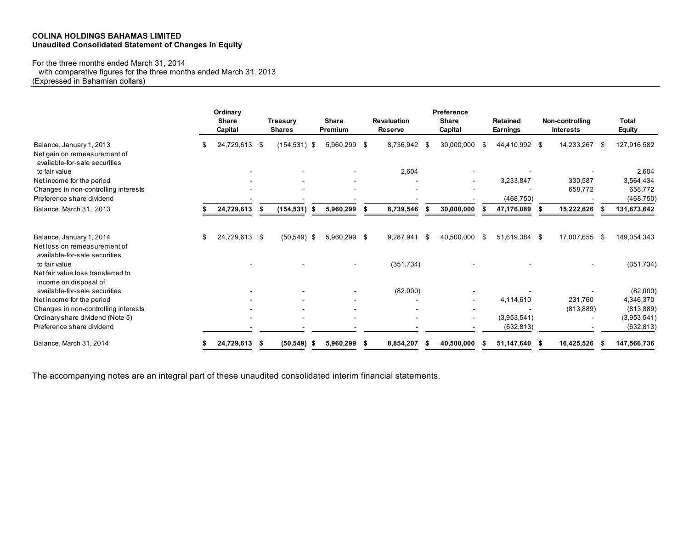## **COLINA HOLDINGS BAHAMAS LIMITED Unaudited Consolidated Statement of Changes in Equity**

For the three months ended March 31, 2014

with comparative figures for the three months ended March 31, 2013

(Expressed in Bahamian dollars)

|                                                                                           |     | Ordinary<br><b>Share</b><br>Capital |     | <b>Treasury</b><br><b>Shares</b> |      | <b>Share</b><br>Premium | <b>Revaluation</b><br><b>Reserve</b> |      | Preference<br><b>Share</b><br>Capital |      | <b>Retained</b><br><b>Earnings</b> | Non-controlling<br><b>Interests</b> |      | <b>Total</b><br><b>Equity</b> |
|-------------------------------------------------------------------------------------------|-----|-------------------------------------|-----|----------------------------------|------|-------------------------|--------------------------------------|------|---------------------------------------|------|------------------------------------|-------------------------------------|------|-------------------------------|
| Balance, January 1, 2013<br>Net gain on remeasurement of<br>available-for-sale securities |     | 24,729,613 \$                       |     | $(154, 531)$ \$                  |      | 5,960,299 \$            | 8,736,942                            | - \$ | 30,000,000                            | S    | 44,410,992 \$                      | 14,233,267                          | -S   | 127,916,582                   |
| to fair value                                                                             |     |                                     |     |                                  |      |                         | 2,604                                |      |                                       |      |                                    |                                     |      | 2,604                         |
| Net income for the period                                                                 |     |                                     |     |                                  |      |                         |                                      |      |                                       |      | 3,233,847                          | 330,587                             |      | 3,564,434                     |
| Changes in non-controlling interests                                                      |     |                                     |     |                                  |      |                         |                                      |      |                                       |      |                                    | 658,772                             |      | 658,772                       |
| Preference share dividend                                                                 |     |                                     |     |                                  |      |                         |                                      |      |                                       |      | (468, 750)                         |                                     |      | (468, 750)                    |
| Balance, March 31, 2013                                                                   |     | 24,729,613                          | - 5 | (154, 531)                       | - \$ | 5,960,299               | 8,739,546                            |      | 30,000,000                            |      | 47,176,089                         | 15,222,626                          |      | 131,673,642                   |
| Balance, January 1, 2014<br>Net loss on remeasurement of<br>available-for-sale securities | \$. | 24,729,613 \$                       |     | $(50, 549)$ \$                   |      | 5,960,299 \$            | 9,287,941                            | \$   | 40,500,000                            | - \$ | 51,619,384 \$                      | 17,007,655                          | - \$ | 149,054,343                   |
| to fair value<br>Net fair value loss transferred to                                       |     |                                     |     |                                  |      |                         | (351, 734)                           |      |                                       |      |                                    |                                     |      | (351, 734)                    |
| income on disposal of<br>available-for-sale securities                                    |     |                                     |     |                                  |      |                         | (82,000)                             |      |                                       |      |                                    |                                     |      | (82,000)                      |
| Net income for the period                                                                 |     |                                     |     |                                  |      |                         |                                      |      |                                       |      | 4,114,610                          | 231,760                             |      | 4,346,370                     |
| Changes in non-controlling interests                                                      |     |                                     |     |                                  |      |                         |                                      |      |                                       |      |                                    | (813,889)                           |      | (813, 889)                    |
| Ordinary share dividend (Note 5)                                                          |     |                                     |     |                                  |      |                         |                                      |      |                                       |      | (3,953,541)                        |                                     |      | (3,953,541)                   |
| Preference share dividend                                                                 |     |                                     |     |                                  |      |                         |                                      |      |                                       |      | (632, 813)                         |                                     |      | (632, 813)                    |
| Balance, March 31, 2014                                                                   |     | 24,729,613                          |     | (50, 549)                        |      | 5,960,299               | 8,854,207                            |      | 40,500,000                            |      | 51,147,640                         | 16,425,526                          |      | 147,566,736                   |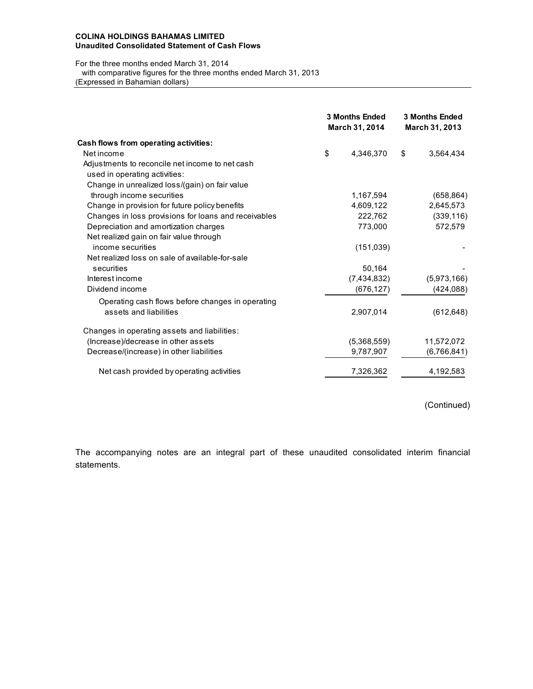### **COLINA HOLDINGS BAHAMAS LIMITED Unaudited Consolidated Statement of Cash Flows**

### For the three months ended March 31, 2014 with comparative figures for the three months ended March 31, 2013 (Expressed in Bahamian dollars)

|                                                                                  | <b>3 Months Ended</b><br>March 31, 2014 | <b>3 Months Ended</b><br>March 31, 2013 |
|----------------------------------------------------------------------------------|-----------------------------------------|-----------------------------------------|
| Cash flows from operating activities:                                            |                                         |                                         |
| Net income                                                                       | \$<br>4,346,370                         | \$<br>3,564,434                         |
| Adjustments to reconcile net income to net cash<br>used in operating activities: |                                         |                                         |
| Change in unrealized loss/(gain) on fair value                                   |                                         |                                         |
| through income securities                                                        | 1,167,594                               | (658, 864)                              |
| Change in provision for future policy benefits                                   | 4,609,122                               | 2,645,573                               |
| Changes in loss provisions for loans and receivables                             | 222,762                                 | (339, 116)                              |
| Depreciation and amortization charges                                            | 773,000                                 | 572,579                                 |
| Net realized gain on fair value through                                          |                                         |                                         |
| income securities                                                                | (151, 039)                              |                                         |
| Net realized loss on sale of available-for-sale                                  |                                         |                                         |
| securities                                                                       | 50.164                                  |                                         |
| Interest income                                                                  | (7,434,832)                             | (5,973,166)                             |
| Dividend income                                                                  | (676, 127)                              | (424, 088)                              |
| Operating cash flows before changes in operating                                 |                                         |                                         |
| assets and liabilities                                                           | 2,907,014                               | (612, 648)                              |
| Changes in operating assets and liabilities:                                     |                                         |                                         |
| (Increase)/decrease in other assets                                              | (5,368,559)                             | 11,572,072                              |
| Decrease/(increase) in other liabilities                                         | 9,787,907                               | (6,766,841)                             |
| Net cash provided by operating activities                                        | 7,326,362                               | 4,192,583                               |

(Continued)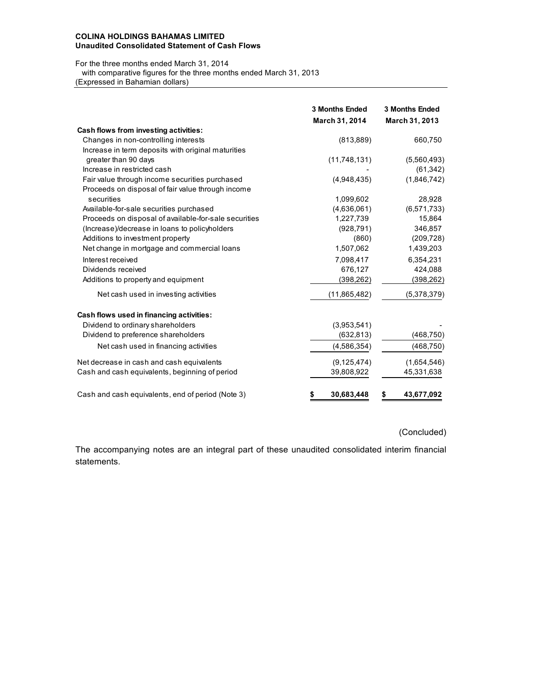### **COLINA HOLDINGS BAHAMAS LIMITED Unaudited Consolidated Statement of Cash Flows**

For the three months ended March 31, 2014

with comparative figures for the three months ended March 31, 2013

(Expressed in Bahamian dollars)

|                                                       | <b>3 Months Ended</b><br>March 31, 2014 | <b>3 Months Ended</b><br>March 31, 2013 |
|-------------------------------------------------------|-----------------------------------------|-----------------------------------------|
| Cash flows from investing activities:                 |                                         |                                         |
| Changes in non-controlling interests                  | (813, 889)                              | 660,750                                 |
| Increase in term deposits with original maturities    |                                         |                                         |
| greater than 90 days                                  | (11,748,131)                            | (5,560,493)                             |
| Increase in restricted cash                           |                                         | (61, 342)                               |
| Fair value through income securities purchased        | (4,948,435)                             | (1,846,742)                             |
| Proceeds on disposal of fair value through income     |                                         |                                         |
| securities                                            | 1,099,602                               | 28,928                                  |
| Available-for-sale securities purchased               | (4,636,061)                             | (6, 571, 733)                           |
| Proceeds on disposal of available-for-sale securities | 1,227,739                               | 15,864                                  |
| (Increase)/decrease in loans to policyholders         | (928, 791)                              | 346,857                                 |
| Additions to investment property                      | (860)                                   | (209, 728)                              |
| Net change in mortgage and commercial loans           | 1,507,062                               | 1,439,203                               |
| Interest received                                     | 7,098,417                               | 6,354,231                               |
| Dividends received                                    | 676,127                                 | 424,088                                 |
| Additions to property and equipment                   | (398, 262)                              | (398, 262)                              |
| Net cash used in investing activities                 | (11, 865, 482)                          | (5,378,379)                             |
| Cash flows used in financing activities:              |                                         |                                         |
| Dividend to ordinary shareholders                     | (3,953,541)                             |                                         |
| Dividend to preference shareholders                   | (632, 813)                              | (468, 750)                              |
| Net cash used in financing activities                 | (4,586,354)                             | (468, 750)                              |
| Net decrease in cash and cash equivalents             | (9, 125, 474)                           | (1,654,546)                             |
| Cash and cash equivalents, beginning of period        | 39,808,922                              | 45,331,638                              |
| Cash and cash equivalents, end of period (Note 3)     | 30,683,448<br>\$                        | 43,677,092<br>5                         |

(Concluded)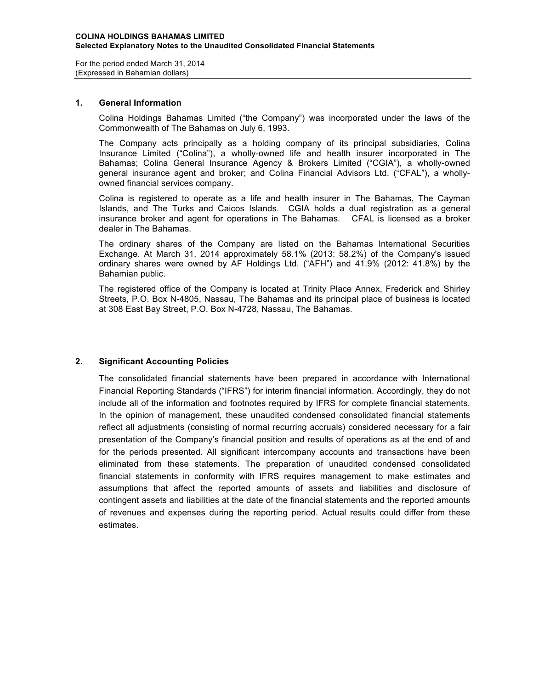For the period ended March 31, 2014 (Expressed in Bahamian dollars)

### **1. General Information**

Colina Holdings Bahamas Limited ("the Company") was incorporated under the laws of the Commonwealth of The Bahamas on July 6, 1993.

The Company acts principally as a holding company of its principal subsidiaries, Colina Insurance Limited ("Colina"), a wholly-owned life and health insurer incorporated in The Bahamas; Colina General Insurance Agency & Brokers Limited ("CGIA"), a wholly-owned general insurance agent and broker; and Colina Financial Advisors Ltd. ("CFAL"), a whollyowned financial services company.

Colina is registered to operate as a life and health insurer in The Bahamas, The Cayman Islands, and The Turks and Caicos Islands. CGIA holds a dual registration as a general insurance broker and agent for operations in The Bahamas. CFAL is licensed as a broker dealer in The Bahamas.

The ordinary shares of the Company are listed on the Bahamas International Securities Exchange. At March 31, 2014 approximately 58.1% (2013: 58.2%) of the Company's issued ordinary shares were owned by AF Holdings Ltd. ("AFH") and 41.9% (2012: 41.8%) by the Bahamian public.

The registered office of the Company is located at Trinity Place Annex, Frederick and Shirley Streets, P.O. Box N-4805, Nassau, The Bahamas and its principal place of business is located at 308 East Bay Street, P.O. Box N-4728, Nassau, The Bahamas.

# **2. Significant Accounting Policies**

The consolidated financial statements have been prepared in accordance with International Financial Reporting Standards ("IFRS") for interim financial information. Accordingly, they do not include all of the information and footnotes required by IFRS for complete financial statements. In the opinion of management, these unaudited condensed consolidated financial statements reflect all adjustments (consisting of normal recurring accruals) considered necessary for a fair presentation of the Company's financial position and results of operations as at the end of and for the periods presented. All significant intercompany accounts and transactions have been eliminated from these statements. The preparation of unaudited condensed consolidated financial statements in conformity with IFRS requires management to make estimates and assumptions that affect the reported amounts of assets and liabilities and disclosure of contingent assets and liabilities at the date of the financial statements and the reported amounts of revenues and expenses during the reporting period. Actual results could differ from these estimates.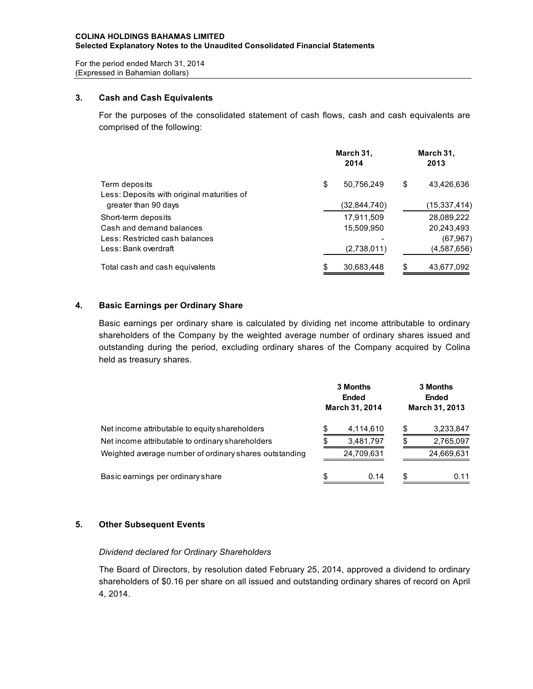For the period ended March 31, 2014 (Expressed in Bahamian dollars)

## **3. Cash and Cash Equivalents**

For the purposes of the consolidated statement of cash flows, cash and cash equivalents are comprised of the following:

|                                            |    | March 31,<br>2014 | March 31,<br>2013 |              |  |  |
|--------------------------------------------|----|-------------------|-------------------|--------------|--|--|
| Term deposits                              | \$ | 50,756,249        | \$                | 43.426.636   |  |  |
| Less: Deposits with original maturities of |    |                   |                   |              |  |  |
| greater than 90 days                       |    | (32,844,740)      |                   | (15,337,414) |  |  |
| Short-term deposits                        |    | 17,911,509        |                   | 28,089,222   |  |  |
| Cash and demand balances                   |    | 15,509,950        |                   | 20,243,493   |  |  |
| Less: Restricted cash balances             |    |                   |                   | (67, 967)    |  |  |
| Less: Bank overdraft                       |    | (2,738,011)       |                   | (4,587,656)  |  |  |
| Total cash and cash equivalents            | S. | 30,683,448        | \$.               | 43,677,092   |  |  |

# **4. Basic Earnings per Ordinary Share**

Basic earnings per ordinary share is calculated by dividing net income attributable to ordinary shareholders of the Company by the weighted average number of ordinary shares issued and outstanding during the period, excluding ordinary shares of the Company acquired by Colina held as treasury shares.

|                                                        |    | 3 Months<br><b>Ended</b><br><b>March 31, 2014</b> | 3 Months<br>Ended<br><b>March 31, 2013</b> |            |  |  |
|--------------------------------------------------------|----|---------------------------------------------------|--------------------------------------------|------------|--|--|
| Net income attributable to equity shareholders         | S  | 4,114,610                                         | \$                                         | 3,233,847  |  |  |
| Net income attributable to ordinary shareholders       |    | 3,481,797                                         | \$                                         | 2,765,097  |  |  |
| Weighted average number of ordinary shares outstanding |    | 24,709,631                                        |                                            | 24,669,631 |  |  |
| Basic earnings per ordinary share                      | \$ | 0.14                                              | \$                                         | 0.11       |  |  |

# **5. Other Subsequent Events**

# *Dividend declared for Ordinary Shareholders*

The Board of Directors, by resolution dated February 25, 2014, approved a dividend to ordinary shareholders of \$0.16 per share on all issued and outstanding ordinary shares of record on April 4, 2014.